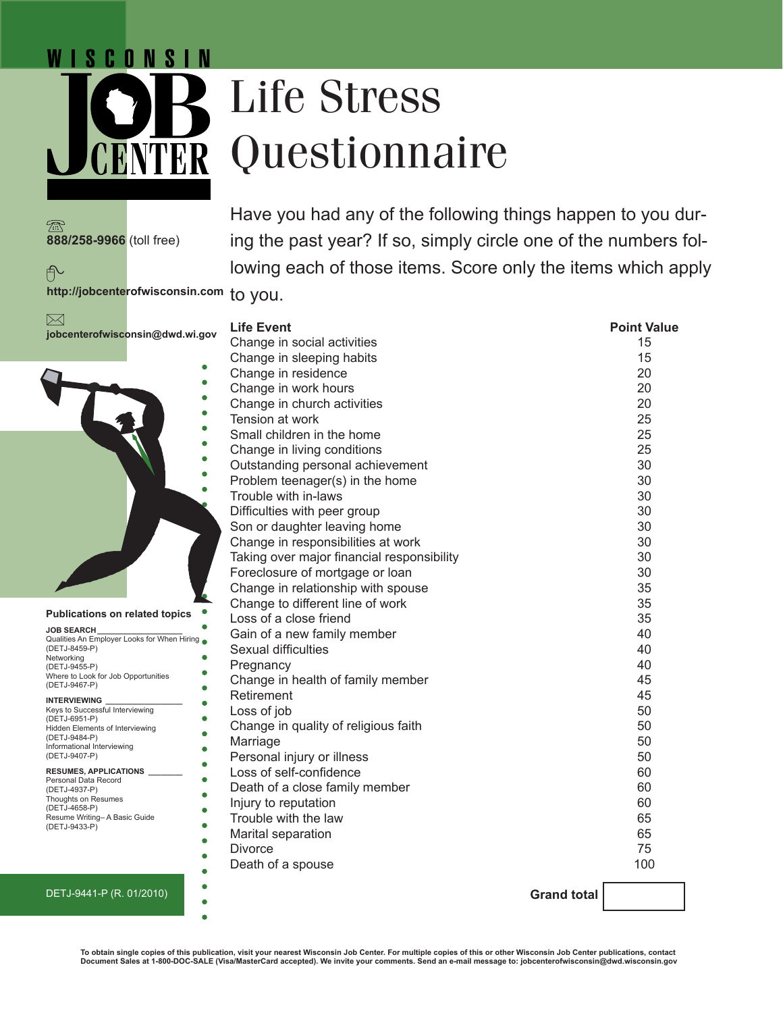# Life Stress Questionnaire

**888/258-9966** (toll free)

டி

 $\boxtimes$ 

*N* I S C O N S I N

Have you had any of the following things happen to you during the past year? If so, simply circle one of the numbers following each of those items. Score only the items which apply

**http://jobcenterofwisconsin.com** to you.



 $\bullet$ 

 $\bullet$ 

ŏ

ō

### **RESUMES, APPLICATIONS \_\_\_\_\_\_\_\_**

Personal Data Record (DETJ-4937-P) Thoughts on Resumes (DETJ-4658-P) Resume Writing– A Basic Guide (DETJ-9433-P)

# DETJ-9441-P (R. 01/2010)

| <b>Life Event</b>                          | <b>Point Value</b> |
|--------------------------------------------|--------------------|
| Change in social activities                | 15                 |
| Change in sleeping habits                  | 15                 |
| Change in residence                        | 20                 |
| Change in work hours                       | 20                 |
| Change in church activities                | 20                 |
| Tension at work                            | 25                 |
| Small children in the home                 | 25                 |
| Change in living conditions                | 25                 |
| Outstanding personal achievement           | 30                 |
| Problem teenager(s) in the home            | 30                 |
| Trouble with in-laws                       | 30                 |
| Difficulties with peer group               | 30                 |
| Son or daughter leaving home               | 30                 |
| Change in responsibilities at work         | 30                 |
| Taking over major financial responsibility | 30                 |
| Foreclosure of mortgage or loan            | 30                 |
| Change in relationship with spouse         | 35                 |
| Change to different line of work           | 35                 |
| Loss of a close friend                     | 35                 |
| Gain of a new family member                | 40                 |
| Sexual difficulties                        | 40                 |
| Pregnancy                                  | 40                 |
| Change in health of family member          | 45                 |
| Retirement                                 | 45                 |
| Loss of job                                | 50                 |
| Change in quality of religious faith       | 50                 |
| Marriage                                   | 50                 |
| Personal injury or illness                 | 50                 |
| Loss of self-confidence                    | 60                 |
| Death of a close family member             | 60                 |
| Injury to reputation                       | 60                 |
| Trouble with the law                       | 65                 |
| Marital separation                         | 65                 |
| <b>Divorce</b>                             | 75                 |
| Death of a spouse                          | 100                |
|                                            |                    |

**Grand total** 

**To obtain single copies of this publication, visit your nearest Wisconsin Job Center. For multiple copies of this or other Wisconsin Job Center publications, contact Document Sales at 1-800-DOC-SALE (Visa/MasterCard accepted). We invite your comments. Send an e-mail message to: jobcenterofwisconsin@dwd.wisconsin.gov**